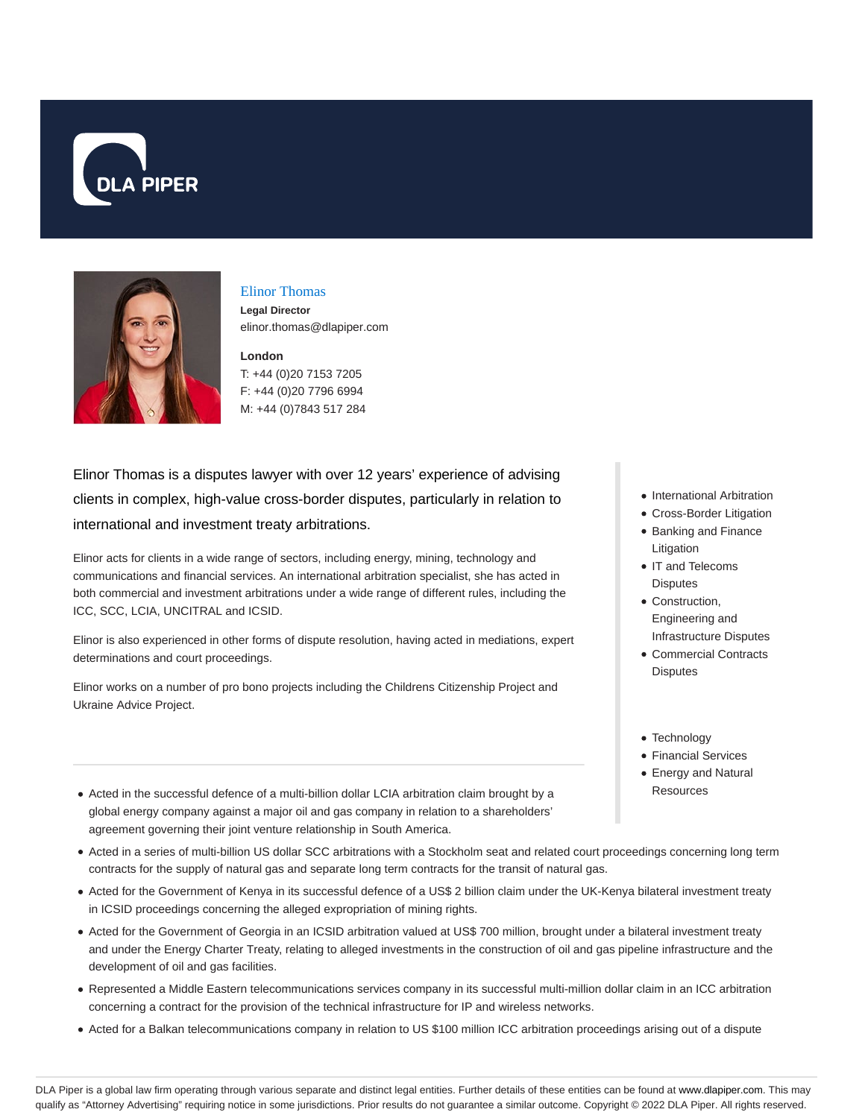



# Elinor Thomas

**Legal Director** elinor.thomas@dlapiper.com

## **London**

T: +44 (0)20 7153 7205 F: +44 (0)20 7796 6994 M: +44 (0)7843 517 284

Elinor Thomas is a disputes lawyer with over 12 years' experience of advising clients in complex, high-value cross-border disputes, particularly in relation to international and investment treaty arbitrations.

Elinor acts for clients in a wide range of sectors, including energy, mining, technology and communications and financial services. An international arbitration specialist, she has acted in both commercial and investment arbitrations under a wide range of different rules, including the ICC, SCC, LCIA, UNCITRAL and ICSID.

Elinor is also experienced in other forms of dispute resolution, having acted in mediations, expert determinations and court proceedings.

Elinor works on a number of pro bono projects including the Childrens Citizenship Project and Ukraine Advice Project.

- International Arbitration
- Cross-Border Litigation
- Banking and Finance Litigation
- IT and Telecoms Disputes
- Construction, Engineering and Infrastructure Disputes
- Commercial Contracts **Disputes**
- Technology
- Financial Services
- Energy and Natural **Resources**
- Acted in the successful defence of a multi-billion dollar LCIA arbitration claim brought by a global energy company against a major oil and gas company in relation to a shareholders' agreement governing their joint venture relationship in South America.
- Acted in a series of multi-billion US dollar SCC arbitrations with a Stockholm seat and related court proceedings concerning long term contracts for the supply of natural gas and separate long term contracts for the transit of natural gas.
- Acted for the Government of Kenya in its successful defence of a US\$ 2 billion claim under the UK-Kenya bilateral investment treaty in ICSID proceedings concerning the alleged expropriation of mining rights.
- Acted for the Government of Georgia in an ICSID arbitration valued at US\$ 700 million, brought under a bilateral investment treaty and under the Energy Charter Treaty, relating to alleged investments in the construction of oil and gas pipeline infrastructure and the development of oil and gas facilities.
- Represented a Middle Eastern telecommunications services company in its successful multi-million dollar claim in an ICC arbitration concerning a contract for the provision of the technical infrastructure for IP and wireless networks.
- Acted for a Balkan telecommunications company in relation to US \$100 million ICC arbitration proceedings arising out of a dispute